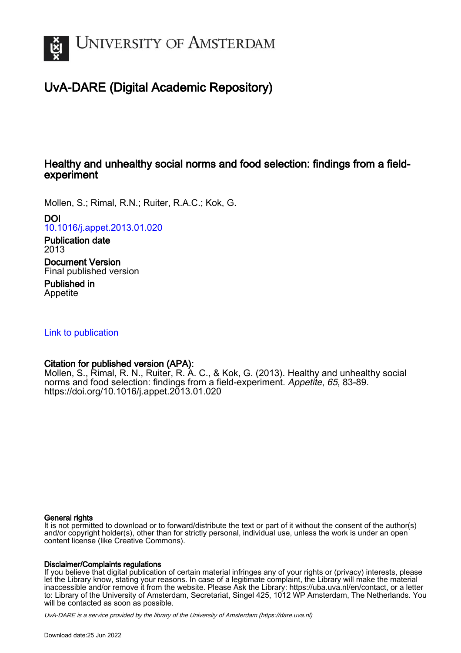

# UvA-DARE (Digital Academic Repository)

# Healthy and unhealthy social norms and food selection: findings from a fieldexperiment

Mollen, S.; Rimal, R.N.; Ruiter, R.A.C.; Kok, G.

DOI

[10.1016/j.appet.2013.01.020](https://doi.org/10.1016/j.appet.2013.01.020)

Publication date 2013 Document Version

Final published version

Published in **Appetite** 

[Link to publication](https://dare.uva.nl/personal/pure/en/publications/healthy-and-unhealthy-social-norms-and-food-selection-findings-from-a-fieldexperiment(d9d5001b-2046-4e9e-bd43-8039d62c9894).html)

# Citation for published version (APA):

Mollen, S., Rimal, R. N., Ruiter, R. A. C., & Kok, G. (2013). Healthy and unhealthy social norms and food selection: findings from a field-experiment. Appetite, 65, 83-89. <https://doi.org/10.1016/j.appet.2013.01.020>

## General rights

It is not permitted to download or to forward/distribute the text or part of it without the consent of the author(s) and/or copyright holder(s), other than for strictly personal, individual use, unless the work is under an open content license (like Creative Commons).

# Disclaimer/Complaints regulations

If you believe that digital publication of certain material infringes any of your rights or (privacy) interests, please let the Library know, stating your reasons. In case of a legitimate complaint, the Library will make the material inaccessible and/or remove it from the website. Please Ask the Library: https://uba.uva.nl/en/contact, or a letter to: Library of the University of Amsterdam, Secretariat, Singel 425, 1012 WP Amsterdam, The Netherlands. You will be contacted as soon as possible.

UvA-DARE is a service provided by the library of the University of Amsterdam (http*s*://dare.uva.nl)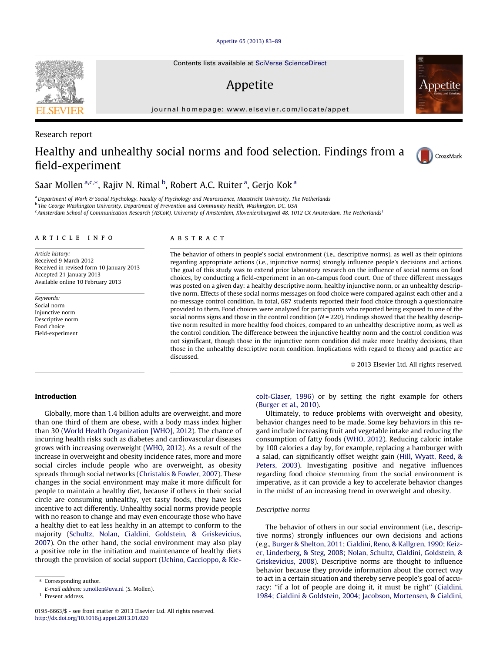[Appetite 65 \(2013\) 83–89](http://dx.doi.org/10.1016/j.appet.2013.01.020)

Contents lists available at [SciVerse ScienceDirect](http://www.sciencedirect.com/science/journal/01956663)

# Appetite

journal homepage: [www.elsevier.com/locate/appet](http://www.elsevier.com/locate/appet)

## Research report

# Healthy and unhealthy social norms and food selection. Findings from a field-experiment



Appetite

Saar Mollen <sup>a,c,</sup>\*, Rajiv N. Rimal <sup>b</sup>, Robert A.C. Ruiter <sup>a</sup>, Gerjo Kok <sup>a</sup>

<sup>a</sup> Department of Work & Social Psychology, Faculty of Psychology and Neuroscience, Maastricht University, The Netherlands

**b The George Washington University, Department of Prevention and Community Health, Washington, DC, USA** 

<sup>c</sup> Amsterdam School of Communication Research (ASCoR), University of Amsterdam, Kloveniersburgwal 48, 1012 CX Amsterdam, The Netherlands<sup>1</sup>

### article info

Article history: Received 9 March 2012 Received in revised form 10 January 2013 Accepted 21 January 2013 Available online 10 February 2013

Keywords: Social norm Injunctive norm Descriptive norm Food choice Field-experiment

#### **ABSTRACT**

The behavior of others in people's social environment (i.e., descriptive norms), as well as their opinions regarding appropriate actions (i.e., injunctive norms) strongly influence people's decisions and actions. The goal of this study was to extend prior laboratory research on the influence of social norms on food choices, by conducting a field-experiment in an on-campus food court. One of three different messages was posted on a given day: a healthy descriptive norm, healthy injunctive norm, or an unhealthy descriptive norm. Effects of these social norms messages on food choice were compared against each other and a no-message control condition. In total, 687 students reported their food choice through a questionnaire provided to them. Food choices were analyzed for participants who reported being exposed to one of the social norms signs and those in the control condition  $(N = 220)$ . Findings showed that the healthy descriptive norm resulted in more healthy food choices, compared to an unhealthy descriptive norm, as well as the control condition. The difference between the injunctive healthy norm and the control condition was not significant, though those in the injunctive norm condition did make more healthy decisions, than those in the unhealthy descriptive norm condition. Implications with regard to theory and practice are discussed.

- 2013 Elsevier Ltd. All rights reserved.

#### Introduction

Globally, more than 1.4 billion adults are overweight, and more than one third of them are obese, with a body mass index higher than 30 ([World Health Organization \[WHO\], 2012](#page-7-0)). The chance of incurring health risks such as diabetes and cardiovascular diseases grows with increasing overweight ([WHO, 2012](#page-7-0)). As a result of the increase in overweight and obesity incidence rates, more and more social circles include people who are overweight, as obesity spreads through social networks [\(Christakis & Fowler, 2007\)](#page-6-0). These changes in the social environment may make it more difficult for people to maintain a healthy diet, because if others in their social circle are consuming unhealthy, yet tasty foods, they have less incentive to act differently. Unhealthy social norms provide people with no reason to change and may even encourage those who have a healthy diet to eat less healthy in an attempt to conform to the majority [\(Schultz, Nolan, Cialdini, Goldstein, & Griskevicius,](#page-6-0) [2007](#page-6-0)). On the other hand, the social environment may also play a positive role in the initiation and maintenance of healthy diets through the provision of social support [\(Uchino, Caccioppo, & Kie-](#page-7-0)

E-mail address: [s.mollen@uva.nl](mailto:s.mollen@uva.nl) (S. Mollen).

[colt-Glaser, 1996\)](#page-7-0) or by setting the right example for others ([Burger et al., 2010](#page-6-0)).

Ultimately, to reduce problems with overweight and obesity, behavior changes need to be made. Some key behaviors in this regard include increasing fruit and vegetable intake and reducing the consumption of fatty foods [\(WHO, 2012\)](#page-7-0). Reducing caloric intake by 100 calories a day by, for example, replacing a hamburger with a salad, can significantly offset weight gain ([Hill, Wyatt, Reed, &](#page-6-0) [Peters, 2003\)](#page-6-0). Investigating positive and negative influences regarding food choice stemming from the social environment is imperative, as it can provide a key to accelerate behavior changes in the midst of an increasing trend in overweight and obesity.

### Descriptive norms

The behavior of others in our social environment (i.e., descriptive norms) strongly influences our own decisions and actions (e.g., [Burger & Shelton, 2011; Cialdini, Reno, & Kallgren, 1990; Keiz](#page-6-0)[er, Linderberg, & Steg, 2008; Nolan, Schultz, Cialdini, Goldstein, &](#page-6-0) [Griskevicius, 2008](#page-6-0)). Descriptive norms are thought to influence behavior because they provide information about the correct way to act in a certain situation and thereby serve people's goal of accuracy: ''if a lot of people are doing it, it must be right'' ([Cialdini,](#page-6-0) [1984; Cialdini & Goldstein, 2004; Jacobson, Mortensen, & Cialdini,](#page-6-0)





<sup>⇑</sup> Corresponding author.

<sup>&</sup>lt;sup>1</sup> Present address.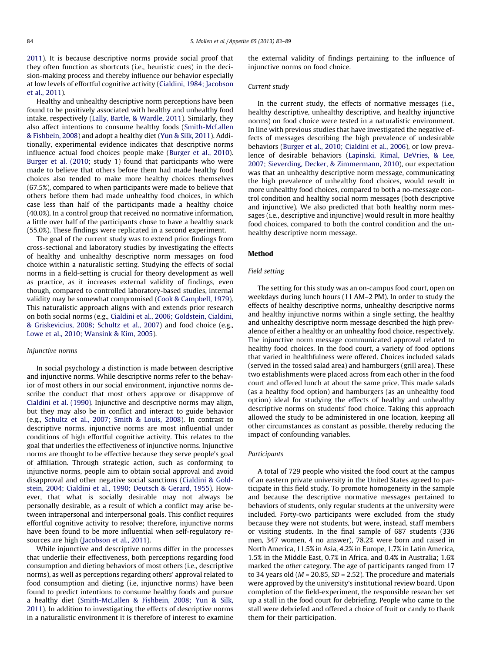[2011\)](#page-6-0). It is because descriptive norms provide social proof that they often function as shortcuts (i.e., heuristic cues) in the decision-making process and thereby influence our behavior especially at low levels of effortful cognitive activity ([Cialdini, 1984; Jacobson](#page-6-0) [et al., 2011\)](#page-6-0).

Healthy and unhealthy descriptive norm perceptions have been found to be positively associated with healthy and unhealthy food intake, respectively [\(Lally, Bartle, & Wardle, 2011\)](#page-6-0). Similarly, they also affect intentions to consume healthy foods [\(Smith-McLallen](#page-7-0) [& Fishbein, 2008\)](#page-7-0) and adopt a healthy diet [\(Yun & Silk, 2011](#page-7-0)). Additionally, experimental evidence indicates that descriptive norms influence actual food choices people make ([Burger et al., 2010\)](#page-6-0). [Burger et al. \(2010](#page-6-0); study 1) found that participants who were made to believe that others before them had made healthy food choices also tended to make more healthy choices themselves (67.5%), compared to when participants were made to believe that others before them had made unhealthy food choices, in which case less than half of the participants made a healthy choice (40.0%). In a control group that received no normative information, a little over half of the participants chose to have a healthy snack (55.0%). These findings were replicated in a second experiment.

The goal of the current study was to extend prior findings from cross-sectional and laboratory studies by investigating the effects of healthy and unhealthy descriptive norm messages on food choice within a naturalistic setting. Studying the effects of social norms in a field-setting is crucial for theory development as well as practice, as it increases external validity of findings, even though, compared to controlled laboratory-based studies, internal validity may be somewhat compromised [\(Cook & Campbell, 1979\)](#page-6-0). This naturalistic approach aligns with and extends prior research on both social norms (e.g., [Cialdini et al., 2006; Goldstein, Cialdini,](#page-6-0) [& Griskevicius, 2008; Schultz et al., 2007\)](#page-6-0) and food choice (e.g., [Lowe et al., 2010; Wansink & Kim, 2005\)](#page-6-0).

### Injunctive norms

In social psychology a distinction is made between descriptive and injunctive norms. While descriptive norms refer to the behavior of most others in our social environment, injunctive norms describe the conduct that most others approve or disapprove of [Cialdini et al. \(1990\).](#page-6-0) Injunctive and descriptive norms may align, but they may also be in conflict and interact to guide behavior (e.g., [Schultz et al., 2007; Smith & Louis, 2008](#page-6-0)). In contrast to descriptive norms, injunctive norms are most influential under conditions of high effortful cognitive activity. This relates to the goal that underlies the effectiveness of injunctive norms. Injunctive norms are thought to be effective because they serve people's goal of affiliation. Through strategic action, such as conforming to injunctive norms, people aim to obtain social approval and avoid disapproval and other negative social sanctions ([Cialdini & Gold](#page-6-0)[stein, 2004; Cialdini et al., 1990; Deutsch & Gerard, 1955\)](#page-6-0). However, that what is socially desirable may not always be personally desirable, as a result of which a conflict may arise between intrapersonal and interpersonal goals. This conflict requires effortful cognitive activity to resolve; therefore, injunctive norms have been found to be more influential when self-regulatory resources are high ([Jacobson et al., 2011\)](#page-6-0).

While injunctive and descriptive norms differ in the processes that underlie their effectiveness, both perceptions regarding food consumption and dieting behaviors of most others (i.e., descriptive norms), as well as perceptions regarding others' approval related to food consumption and dieting (i.e, injunctive norms) have been found to predict intentions to consume healthy foods and pursue a healthy diet ([Smith-McLallen & Fishbein, 2008; Yun & Silk,](#page-7-0) [2011\)](#page-7-0). In addition to investigating the effects of descriptive norms in a naturalistic environment it is therefore of interest to examine the external validity of findings pertaining to the influence of injunctive norms on food choice.

#### Current study

In the current study, the effects of normative messages (i.e., healthy descriptive, unhealthy descriptive, and healthy injunctive norms) on food choice were tested in a naturalistic environment. In line with previous studies that have investigated the negative effects of messages describing the high prevalence of undesirable behaviors [\(Burger et al., 2010; Cialdini et al., 2006](#page-6-0)), or low prevalence of desirable behaviors ([Lapinski, Rimal, DeVries, & Lee,](#page-6-0) [2007; Sieverding, Decker, & Zimmermann, 2010](#page-6-0)), our expectation was that an unhealthy descriptive norm message, communicating the high prevalence of unhealthy food choices, would result in more unhealthy food choices, compared to both a no-message control condition and healthy social norm messages (both descriptive and injunctive). We also predicted that both healthy norm messages (i.e., descriptive and injunctive) would result in more healthy food choices, compared to both the control condition and the unhealthy descriptive norm message.

### Method

#### Field setting

The setting for this study was an on-campus food court, open on weekdays during lunch hours (11 AM–2 PM). In order to study the effects of healthy descriptive norms, unhealthy descriptive norms and healthy injunctive norms within a single setting, the healthy and unhealthy descriptive norm message described the high prevalence of either a healthy or an unhealthy food choice, respectively. The injunctive norm message communicated approval related to healthy food choices. In the food court, a variety of food options that varied in healthfulness were offered. Choices included salads (served in the tossed salad area) and hamburgers (grill area). These two establishments were placed across from each other in the food court and offered lunch at about the same price. This made salads (as a healthy food option) and hamburgers (as an unhealthy food option) ideal for studying the effects of healthy and unhealthy descriptive norms on students' food choice. Taking this approach allowed the study to be administered in one location, keeping all other circumstances as constant as possible, thereby reducing the impact of confounding variables.

#### Participants

A total of 729 people who visited the food court at the campus of an eastern private university in the United States agreed to participate in this field study. To promote homogeneity in the sample and because the descriptive normative messages pertained to behaviors of students, only regular students at the university were included. Forty-two participants were excluded from the study because they were not students, but were, instead, staff members or visiting students. In the final sample of 687 students (336 men, 347 women, 4 no answer), 78.2% were born and raised in North America, 11.5% in Asia, 4.2% in Europe, 1.7% in Latin America, 1.5% in the Middle East, 0.7% in Africa, and 0.4% in Australia; 1.6% marked the other category. The age of participants ranged from 17 to 34 years old ( $M = 20.85$ ,  $SD = 2.52$ ). The procedure and materials were approved by the university's institutional review board. Upon completion of the field-experiment, the responsible researcher set up a stall in the food court for debriefing. People who came to the stall were debriefed and offered a choice of fruit or candy to thank them for their participation.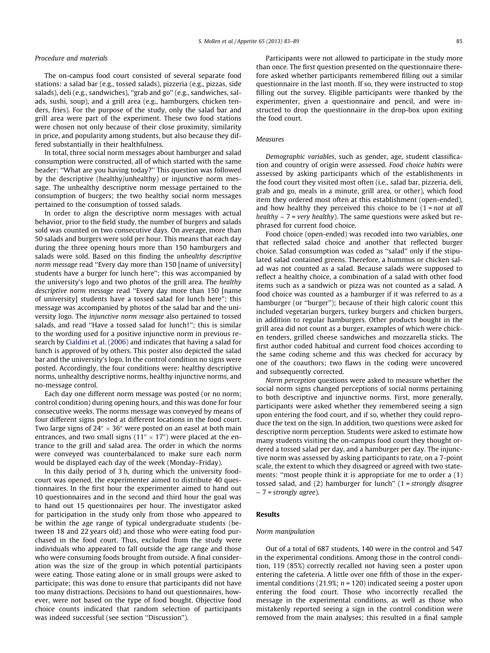#### Procedure and materials

The on-campus food court consisted of several separate food stations: a salad bar (e.g., tossed salads), pizzeria (e.g., pizzas, side salads), deli (e.g., sandwiches), "grab and go" (e.g., sandwiches, salads, sushi, soup), and a grill area (e.g., hamburgers, chicken tenders, fries). For the purpose of the study, only the salad bar and grill area were part of the experiment. These two food stations were chosen not only because of their close proximity, similarity in price, and popularity among students, but also because they differed substantially in their healthfulness.

In total, three social norm messages about hamburger and salad consumption were constructed, all of which started with the same header: ''What are you having today?'' This question was followed by the descriptive (healthy/unhealthy) or injunctive norm message. The unhealthy descriptive norm message pertained to the consumption of burgers; the two healthy social norm messages pertained to the consumption of tossed salads.

In order to align the descriptive norm messages with actual behavior, prior to the field study, the number of burgers and salads sold was counted on two consecutive days. On average, more than 50 salads and burgers were sold per hour. This means that each day during the three opening hours more than 150 hamburgers and salads were sold. Based on this finding the unhealthy descriptive norm message read "Every day more than 150 [name of university] students have a burger for lunch here''; this was accompanied by the university's logo and two photos of the grill area. The healthy descriptive norm message read "Every day more than 150 [name of university] students have a tossed salad for lunch here''; this message was accompanied by photos of the salad bar and the university logo. The injunctive norm message also pertained to tossed salads, and read "Have a tossed salad for lunch!"; this is similar to the wording used for a positive injunctive norm in previous research by [Cialdini et al. \(2006\)](#page-6-0) and indicates that having a salad for lunch is approved of by others. This poster also depicted the salad bar and the university's logo. In the control condition no signs were posted. Accordingly, the four conditions were: healthy descriptive norms, unhealthy descriptive norms, healthy injunctive norms, and no-message control.

Each day one different norm message was posted (or no norm; control condition) during opening hours, and this was done for four consecutive weeks. The norms message was conveyed by means of four different signs posted at different locations in the food court. Two large signs of 24″  $\times$  36″ were posted on an easel at both main entrances, and two small signs (11″  $\times$  17″) were placed at the entrance to the grill and salad area. The order in which the norms were conveyed was counterbalanced to make sure each norm would be displayed each day of the week (Monday–Friday).

In this daily period of 3 h, during which the university foodcourt was opened, the experimenter aimed to distribute 40 questionnaires. In the first hour the experimenter aimed to hand out 10 questionnaires and in the second and third hour the goal was to hand out 15 questionnaires per hour. The investigator asked for participation in the study only from those who appeared to be within the age range of typical undergraduate students (between 18 and 22 years old) and those who were eating food purchased in the food court. Thus, excluded from the study were individuals who appeared to fall outside the age range and those who were consuming foods brought from outside. A final consideration was the size of the group in which potential participants were eating. Those eating alone or in small groups were asked to participate; this was done to ensure that participants did not have too many distractions. Decisions to hand out questionnaires, however, were not based on the type of food bought. Objective food choice counts indicated that random selection of participants was indeed successful (see section ''Discussion'').

Participants were not allowed to participate in the study more than once. The first question presented on the questionnaire therefore asked whether participants remembered filling out a similar questionnaire in the last month. If so, they were instructed to stop filling out the survey. Eligible participants were thanked by the experimenter, given a questionnaire and pencil, and were instructed to drop the questionnaire in the drop-box upon exiting the food court.

### Measures

Demographic variables, such as gender, age, student classification and country of origin were assessed. Food choice habits were assessed by asking participants which of the establishments in the food court they visited most often (i.e., salad bar, pizzeria, deli, grab and go, meals in a minute, grill area, or other), which food item they ordered most often at this establishment (open-ended), and how healthy they perceived this choice to be  $(1 = not at all$ healthy  $-7$  = very healthy). The same questions were asked but rephrased for current food choice.

Food choice (open-ended) was recoded into two variables, one that reflected salad choice and another that reflected burger choice. Salad consumption was coded as ''salad'' only if the stipulated salad contained greens. Therefore, a hummus or chicken salad was not counted as a salad. Because salads were supposed to reflect a healthy choice, a combination of a salad with other food items such as a sandwich or pizza was not counted as a salad. A food choice was counted as a hamburger if it was referred to as a hamburger (or "burger"); because of their high caloric count this included vegetarian burgers, turkey burgers and chicken burgers, in addition to regular hamburgers. Other products bought in the grill area did not count as a burger, examples of which were chicken tenders, grilled cheese sandwiches and mozzarella sticks. The first author coded habitual and current food choices according to the same coding scheme and this was checked for accuracy by one of the coauthors; two flaws in the coding were uncovered and subsequently corrected.

Norm perception questions were asked to measure whether the social norm signs changed perceptions of social norms pertaining to both descriptive and injunctive norms. First, more generally, participants were asked whether they remembered seeing a sign upon entering the food court, and if so, whether they could reproduce the text on the sign. In addition, two questions were asked for descriptive norm perception. Students were asked to estimate how many students visiting the on-campus food court they thought ordered a tossed salad per day, and a hamburger per day. The injunctive norm was assessed by asking participants to rate, on a 7-point scale, the extent to which they disagreed or agreed with two statements: "most people think it is appropriate for me to order a  $(1)$ tossed salad, and (2) hamburger for lunch'' (1 = strongly disagree  $-7$  = strongly agree).

## Results

#### Norm manipulation

Out of a total of 687 students, 140 were in the control and 547 in the experimental conditions. Among those in the control condition, 119 (85%) correctly recalled not having seen a poster upon entering the cafeteria. A little over one fifth of those in the experimental conditions (21.9%;  $n = 120$ ) indicated seeing a poster upon entering the food court. Those who incorrectly recalled the message in the experimental conditions, as well as those who mistakenly reported seeing a sign in the control condition were removed from the main analyses; this resulted in a final sample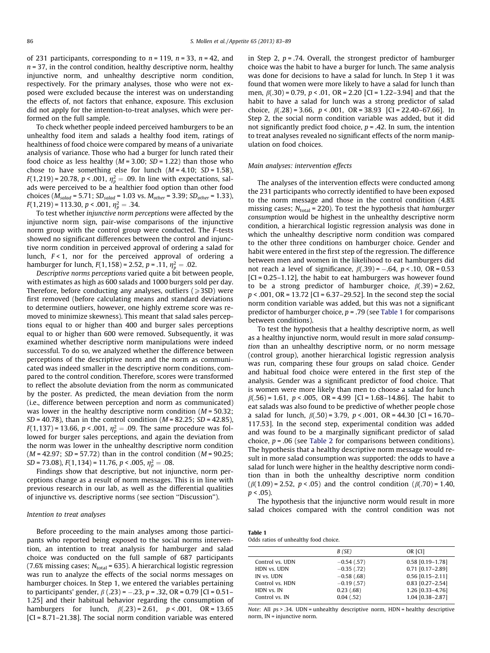of 231 participants, corresponding to  $n = 119$ ,  $n = 33$ ,  $n = 42$ , and  $n = 37$ , in the control condition, healthy descriptive norm, healthy injunctive norm, and unhealthy descriptive norm condition, respectively. For the primary analyses, those who were not exposed were excluded because the interest was on understanding the effects of, not factors that enhance, exposure. This exclusion did not apply for the intention-to-treat analyses, which were performed on the full sample.

To check whether people indeed perceived hamburgers to be an unhealthy food item and salads a healthy food item, ratings of healthiness of food choice were compared by means of a univariate analysis of variance. Those who had a burger for lunch rated their food choice as less healthy ( $M = 3.00$ ;  $SD = 1.22$ ) than those who chose to have something else for lunch  $(M = 4.10; SD = 1.58)$ ,  $F(1,219)$  = 20.78, p < .001,  $\eta_p^2 = 0.09$ . In line with expectations, salads were perceived to be a healthier food option than other food choices ( $M_{salad}$  = 5.71;  $SD_{salad}$  = 1.03 vs.  $M_{other}$  = 3.39;  $SD_{other}$  = 1.33),  $F(1,219)$  = 113.30, p < .001,  $\eta_p^2 = .34$ .

To test whether injunctive norm perceptions were affected by the injunctive norm sign, pair-wise comparisons of the injunctive norm group with the control group were conducted. The F-tests showed no significant differences between the control and injunctive norm condition in perceived approval of ordering a salad for lunch,  $F < 1$ , nor for the perceived approval of ordering a hamburger for lunch,  $F(1,158)$  = 2.52,  $p$  = .11,  $\eta_p^2 = 0.02$ .

Descriptive norms perceptions varied quite a bit between people, with estimates as high as 600 salads and 1000 burgers sold per day. Therefore, before conducting any analyses, outliers ( $\geq$ 3SD) were first removed (before calculating means and standard deviations to determine outliers, however, one highly extreme score was removed to minimize skewness). This meant that salad sales perceptions equal to or higher than 400 and burger sales perceptions equal to or higher than 600 were removed. Subsequently, it was examined whether descriptive norm manipulations were indeed successful. To do so, we analyzed whether the difference between perceptions of the descriptive norm and the norm as communicated was indeed smaller in the descriptive norm conditions, compared to the control condition. Therefore, scores were transformed to reflect the absolute deviation from the norm as communicated by the poster. As predicted, the mean deviation from the norm (i.e., difference between perception and norm as communicated) was lower in the healthy descriptive norm condition  $(M = 50.32)$ ;  $SD = 40.78$ ), than in the control condition ( $M = 82.25$ ;  $SD = 42.85$ ),  $F(1,137)$  = 13.66, p < .001,  $\eta_p^2 = 0.09$ . The same procedure was followed for burger sales perceptions, and again the deviation from the norm was lower in the unhealthy descriptive norm condition  $(M = 42.97; SD = 57.72)$  than in the control condition  $(M = 90.25;$ SD = 73.08),  $F(1, 134)$  = 11.76,  $p < .005$ ,  $\eta_p^2 = .08$ .

Findings show that descriptive, but not injunctive, norm perceptions change as a result of norm messages. This is in line with previous research in our lab, as well as the differential qualities of injunctive vs. descriptive norms (see section ''Discussion'').

#### Intention to treat analyses

Before proceeding to the main analyses among those participants who reported being exposed to the social norms intervention, an intention to treat analysis for hamburger and salad choice was conducted on the full sample of 687 participants (7.6% missing cases;  $N_{\text{total}}$  = 635). A hierarchical logistic regression was run to analyze the effects of the social norms messages on hamburger choices. In Step 1, we entered the variables pertaining to participants' gender,  $\beta$  (.23) = -.23, p = .32, OR = 0.79 [CI = 0.51-1.25] and their habitual behavior regarding the consumption of hamburgers for lunch,  $\beta(.23) = 2.61$ ,  $p < .001$ , OR = 13.65 [CI = 8.71–21.38]. The social norm condition variable was entered

in Step 2,  $p = 0.74$ . Overall, the strongest predictor of hamburger choice was the habit to have a burger for lunch. The same analysis was done for decisions to have a salad for lunch. In Step 1 it was found that women were more likely to have a salad for lunch than men,  $\beta(.30) = 0.79$ ,  $p < .01$ ,  $OR = 2.20$  [CI = 1.22–3.94] and that the habit to have a salad for lunch was a strong predictor of salad choice,  $\beta(.28) = 3.66$ ,  $p < .001$ ,  $OR = 38.93$  [CI = 22.40–67.66]. In Step 2, the social norm condition variable was added, but it did not significantly predict food choice,  $p = .42$ . In sum, the intention to treat analyses revealed no significant effects of the norm manipulation on food choices.

#### Main analyses: intervention effects

The analyses of the intervention effects were conducted among the 231 participants who correctly identified to have been exposed to the norm message and those in the control condition (4.8% missing cases;  $N_{\text{total}}$  = 220). To test the hypothesis that hamburger consumption would be highest in the unhealthy descriptive norm condition, a hierarchical logistic regression analysis was done in which the unhealthy descriptive norm condition was compared to the other three conditions on hamburger choice. Gender and habit were entered in the first step of the regression. The difference between men and women in the likelihood to eat hamburgers did not reach a level of significance,  $\beta(.39) = -.64$ ,  $p < .10$ , OR = 0.53 [CI = 0.25–1.12], the habit to eat hamburgers was however found to be a strong predictor of hamburger choice,  $\beta(.39) = 2.62$ ,  $p < .001$ , OR = 13.72 [CI = 6.37-29.52]. In the second step the social norm condition variable was added, but this was not a significant predictor of hamburger choice,  $p = .79$  (see Table 1 for comparisons between conditions).

To test the hypothesis that a healthy descriptive norm, as well as a healthy injunctive norm, would result in more salad consumption than an unhealthy descriptive norm, or no norm message (control group), another hierarchical logistic regression analysis was run, comparing these four groups on salad choice. Gender and habitual food choice were entered in the first step of the analysis. Gender was a significant predictor of food choice. That is women were more likely than men to choose a salad for lunch  $\beta(.56) = 1.61$ ,  $p < .005$ ,  $OR = 4.99$  [CI = 1.68-14.86]. The habit to eat salads was also found to be predictive of whether people chose a salad for lunch,  $\beta(.50) = 3.79$ ,  $p < .001$ , OR = 44.30 [CI = 16.70– 117.53]. In the second step, experimental condition was added and was found to be a marginally significant predictor of salad choice,  $p = .06$  (see [Table 2](#page-5-0) for comparisons between conditions). The hypothesis that a healthy descriptive norm message would result in more salad consumption was supported: the odds to have a salad for lunch were higher in the healthy descriptive norm condition than in both the unhealthy descriptive norm condition  $(\beta(1.09) = 2.52, p < .05)$  and the control condition  $(\beta(.70) = 1.40,$  $p < .05$ ).

The hypothesis that the injunctive norm would result in more salad choices compared with the control condition was not

| I<br>н<br>١<br>н<br>ı |  |
|-----------------------|--|
|-----------------------|--|

Odds ratios of unhealthy food choice.

|                 | B(SE)         | OR [CI]            |
|-----------------|---------------|--------------------|
| Control vs. UDN | $-0.54$ (.57) | $0.58$ [0.19-1.78] |
| HDN vs. UDN     | $-0.35(0.72)$ | $0.71$ [0.17-2.89] |
| IN vs. UDN      | $-0.58$ (.68) | $0.56$ [0.15-2.11] |
| Control vs. HDN | $-0.19(0.57)$ | $0.83$ [0.27-2.54] |
| HDN vs. IN      | 0.23(.68)     | 1.26 [0.33-4.76]   |
| Control vs. IN  | 0.04(0.52)    | 1.04 [0.38-2.87]   |
|                 |               |                    |

Note: All ps > .34. UDN = unhealthy descriptive norm, HDN = healthy descriptive norm, IN = injunctive norm.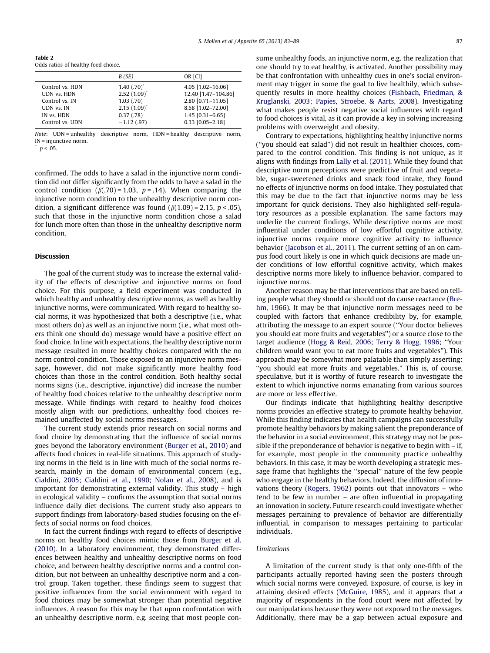<span id="page-5-0"></span>Table 2 Odds ratios of healthy food choice.

|                 | B(SE)            | OR [CI]             |
|-----------------|------------------|---------------------|
| Control vs. HDN | $1.40(.70)^*$    | 4.05 [1.02-16.06]   |
| UDN vs. HDN     | $2.52(1.09)^{*}$ | 12.40 [1.47-104.86] |
| Control vs. IN  | 1.03(0.70)       | 2.80 [0.71-11.05]   |
| UDN vs. IN      | $2.15(1.09)^{4}$ | 8.58 [1.02-72.00]   |
| IN vs. HDN      | 0.37(0.78)       | 1.45 [0.31-6.65]    |
| Control vs. UDN | $-1.12$ (.97)    | $0.33$ [0.05-2.18]  |

Note: UDN = unhealthy descriptive norm, HDN = healthy descriptive norm, IN = injunctive norm.

 $p < .05$ .

confirmed. The odds to have a salad in the injunctive norm condition did not differ significantly from the odds to have a salad in the control condition ( $\beta(.70) = 1.03$ ,  $p = .14$ ). When comparing the injunctive norm condition to the unhealthy descriptive norm condition, a significant difference was found  $(\beta(1.09) = 2.15, p < .05)$ , such that those in the injunctive norm condition chose a salad for lunch more often than those in the unhealthy descriptive norm condition.

#### Discussion

The goal of the current study was to increase the external validity of the effects of descriptive and injunctive norms on food choice. For this purpose, a field experiment was conducted in which healthy and unhealthy descriptive norms, as well as healthy injunctive norms, were communicated. With regard to healthy social norms, it was hypothesized that both a descriptive (i.e., what most others do) as well as an injunctive norm (i.e., what most others think one should do) message would have a positive effect on food choice. In line with expectations, the healthy descriptive norm message resulted in more healthy choices compared with the no norm control condition. Those exposed to an injunctive norm message, however, did not make significantly more healthy food choices than those in the control condition. Both healthy social norms signs (i.e., descriptive, injunctive) did increase the number of healthy food choices relative to the unhealthy descriptive norm message. While findings with regard to healthy food choices mostly align with our predictions, unhealthy food choices remained unaffected by social norms messages.

The current study extends prior research on social norms and food choice by demonstrating that the influence of social norms goes beyond the laboratory environment ([Burger et al., 2010\)](#page-6-0) and affects food choices in real-life situations. This approach of studying norms in the field is in line with much of the social norms research, mainly in the domain of environmental concern (e.g., [Cialdini, 2005; Cialdini et al., 1990; Nolan et al., 2008](#page-6-0)), and is important for demonstrating external validity. This study – high in ecological validity – confirms the assumption that social norms influence daily diet decisions. The current study also appears to support findings from laboratory-based studies focusing on the effects of social norms on food choices.

In fact the current findings with regard to effects of descriptive norms on healthy food choices mimic those from [Burger et al.](#page-6-0) [\(2010\)](#page-6-0). In a laboratory environment, they demonstrated differences between healthy and unhealthy descriptive norms on food choice, and between healthy descriptive norms and a control condition, but not between an unhealthy descriptive norm and a control group. Taken together, these findings seem to suggest that positive influences from the social environment with regard to food choices may be somewhat stronger than potential negative influences. A reason for this may be that upon confrontation with an unhealthy descriptive norm, e.g. seeing that most people conproblems with overweight and obesity. Contrary to expectations, highlighting healthy injunctive norms (''you should eat salad'') did not result in healthier choices, compared to the control condition. This finding is not unique, as it aligns with findings from [Lally et al. \(2011\).](#page-6-0) While they found that descriptive norm perceptions were predictive of fruit and vegetable, sugar-sweetened drinks and snack food intake, they found no effects of injunctive norms on food intake. They postulated that this may be due to the fact that injunctive norms may be less important for quick decisions. They also highlighted self-regulatory resources as a possible explanation. The same factors may underlie the current findings. While descriptive norms are most influential under conditions of low effortful cognitive activity, injunctive norms require more cognitive activity to influence behavior [\(Jacobson et al., 2011\)](#page-6-0). The current setting of an on campus food court likely is one in which quick decisions are made under conditions of low effortful cognitive activity, which makes descriptive norms more likely to influence behavior, compared to injunctive norms.

Another reason may be that interventions that are based on telling people what they should or should not do cause reactance ([Bre](#page-6-0)[hm, 1966](#page-6-0)). It may be that injunctive norm messages need to be coupled with factors that enhance credibility by, for example, attributing the message to an expert source (''Your doctor believes you should eat more fruits and vegetables'') or a source close to the target audience ([Hogg & Reid, 2006; Terry & Hogg, 1996](#page-6-0); ''Your children would want you to eat more fruits and vegetables''). This approach may be somewhat more palatable than simply asserting: "you should eat more fruits and vegetables." This is, of course, speculative, but it is worthy of future research to investigate the extent to which injunctive norms emanating from various sources are more or less effective.

Our findings indicate that highlighting healthy descriptive norms provides an effective strategy to promote healthy behavior. While this finding indicates that health campaigns can successfully promote healthy behaviors by making salient the preponderance of the behavior in a social environment, this strategy may not be possible if the preponderance of behavior is negative to begin with – if, for example, most people in the community practice unhealthy behaviors. In this case, it may be worth developing a strategic message frame that highlights the ''special'' nature of the few people who engage in the healthy behaviors. Indeed, the diffusion of innovations theory [\(Rogers, 1962](#page-6-0)) points out that innovators – who tend to be few in number – are often influential in propagating an innovation in society. Future research could investigate whether messages pertaining to prevalence of behavior are differentially influential, in comparison to messages pertaining to particular individuals.

#### Limitations

A limitation of the current study is that only one-fifth of the participants actually reported having seen the posters through which social norms were conveyed. Exposure, of course, is key in attaining desired effects [\(McGuire, 1985\)](#page-6-0), and it appears that a majority of respondents in the food court were not affected by our manipulations because they were not exposed to the messages. Additionally, there may be a gap between actual exposure and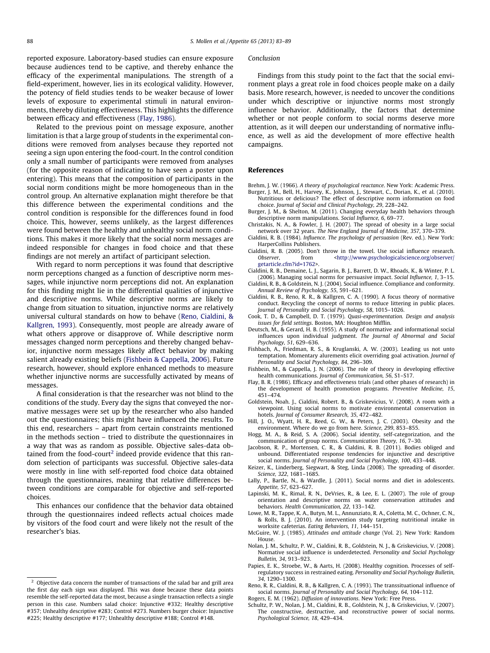<span id="page-6-0"></span>reported exposure. Laboratory-based studies can ensure exposure because audiences tend to be captive, and thereby enhance the efficacy of the experimental manipulations. The strength of a field-experiment, however, lies in its ecological validity. However, the potency of field studies tends to be weaker because of lower levels of exposure to experimental stimuli in natural environments, thereby diluting effectiveness. This highlights the difference between efficacy and effectiveness (Flay, 1986).

Related to the previous point on message exposure, another limitation is that a large group of students in the experimental conditions were removed from analyses because they reported not seeing a sign upon entering the food-court. In the control condition only a small number of participants were removed from analyses (for the opposite reason of indicating to have seen a poster upon entering). This means that the composition of participants in the social norm conditions might be more homogeneous than in the control group. An alternative explanation might therefore be that this difference between the experimental conditions and the control condition is responsible for the differences found in food choice. This, however, seems unlikely, as the largest differences were found between the healthy and unhealthy social norm conditions. This makes it more likely that the social norm messages are indeed responsible for changes in food choice and that these findings are not merely an artifact of participant selection.

With regard to norm perceptions it was found that descriptive norm perceptions changed as a function of descriptive norm messages, while injunctive norm perceptions did not. An explanation for this finding might lie in the differential qualities of injunctive and descriptive norms. While descriptive norms are likely to change from situation to situation, injunctive norms are relatively universal cultural standards on how to behave (Reno, Cialdini, & Kallgren, 1993). Consequently, most people are already aware of what others approve or disapprove of. While descriptive norm messages changed norm perceptions and thereby changed behavior, injunctive norm messages likely affect behavior by making salient already existing beliefs (Fishbein & Cappella, 2006). Future research, however, should explore enhanced methods to measure whether injunctive norms are successfully activated by means of messages.

A final consideration is that the researcher was not blind to the conditions of the study. Every day the signs that conveyed the normative messages were set up by the researcher who also handed out the questionnaires; this might have influenced the results. To this end, researchers – apart from certain constraints mentioned in the methods section – tried to distribute the questionnaires in a way that was as random as possible. Objective sales-data obtained from the food-court<sup>2</sup> indeed provide evidence that this random selection of participants was successful. Objective sales-data were mostly in line with self-reported food choice data obtained through the questionnaires, meaning that relative differences between conditions are comparable for objective and self-reported choices.

This enhances our confidence that the behavior data obtained through the questionnaires indeed reflects actual choices made by visitors of the food court and were likely not the result of the researcher's bias.

#### Conclusion

Findings from this study point to the fact that the social environment plays a great role in food choices people make on a daily basis. More research, however, is needed to uncover the conditions under which descriptive or injunctive norms most strongly influence behavior. Additionally, the factors that determine whether or not people conform to social norms deserve more attention, as it will deepen our understanding of normative influence, as well as aid the development of more effective health campaigns.

## References

- Brehm, J. W. (1966). A theory of psychological reactance. New York: Academic Press. Burger, J. M., Bell, H., Harvey, K., Johnson, J., Stewart, C., Dorian, K., et al. (2010).
- Nutritious or delicious? The effect of descriptive norm information on food choice. Journal of Social and Clinical Psychology, 29, 228–242.
- Burger, J. M., & Shelton, M. (2011). Changing everyday health behaviors through descriptive norm manipulations. Social Influence, 6, 69–77.
- Christakis, N. A., & Fowler, J. H. (2007). The spread of obesity in a large social network over 32 years. The New England Journal of Medicine, 357, 370–379.
- Cialdini, R. B. (1984). Influence. The psychology of persuasion (Rev. ed.). New York: HarperCollins Publishers.
- Cialdini, R. B. (2005). Don't throw in the towel. Use social influence research. Observer, from <[http://www.psychologicalscience.org/observer/](http://www.psychologicalscience.org/observer/getarticle.cfm?id=1762) [getarticle.cfm?id=1762](http://www.psychologicalscience.org/observer/getarticle.cfm?id=1762)>.
- Cialdini, R. B., Demaine, L. J., Sagarin, B. J., Barrett, D. W., Rhoads, K., & Winter, P. L. (2006). Managing social norms for persuasive impact. Social Influence, 1, 3–15.
- Cialdini, R. B., & Goldstein, N. J. (2004). Social influence. Compliance and conformity. Annual Review of Psychology, 55, 591–621.
- Cialdini, R. B., Reno, R. R., & Kallgren, C. A. (1990). A focus theory of normative conduct. Recycling the concept of norms to reduce littering in public places. Journal of Personality and Social Psychology, 58, 1015–1026.
- Cook, T. D., & Campbell, D. T. (1979). Quasi-experimentation. Design and analysis issues for field settings. Boston, MA: Houghton Mifflin.
- Deutsch, M., & Gerard, H. B. (1955). A study of normative and informational social influences upon individual judgment. The Journal of Abnormal and Social Psychology, 51, 629–636.
- Fishbach, A., Friedman, R. S., & Kruglanski, A. W. (2003). Leading us not unto temptation. Momentary alurements elicit overriding goal activation. Journal of Personality and Social Psychology, 84, 296–309.
- Fishbein, M., & Cappella, J. N. (2006). The role of theory in developing effective health communications. Journal of Communication, 56, S1–S17.
- Flay, B. R. (1986). Efficacy and effectiveness trials (and other phases of research) in the development of health promotion programs. Preventive Medicine, 15, 451–474.
- Goldstein, Noah. J., Cialdini, Robert. B., & Griskevicius, V. (2008). A room with a viewpoint. Using social norms to motivate environmental conservation in hotels. Journal of Consumer Research, 35, 472–482.
- Hill, J. O., Wyatt, H. R., Reed, G. W., & Peters, J. C. (2003). Obesity and the environment. Where do we go from here. Science, 299, 853–855.
- Hogg, M. A., & Reid, S. A. (2006). Social identity, self-categorization, and the communication of group norms. Communication Theory, 16, 7–30.
- Jacobson, R. P., Mortensen, C. R., & Cialdini, R. B. (2011). Bodies obliged and unbound. Differentiated response tendencies for injunctive and descriptive social norms. Journal of Personality and Social Psychology, 100, 433–448.
- Keizer, K., Linderberg, Siegwart, & Steg, Linda (2008). The spreading of disorder. Science, 322, 1681–1685.
- Lally, P., Bartle, N., & Wardle, J. (2011). Social norms and diet in adolescents. Appetite, 57, 623–627.
- Lapinski, M. K., Rimal, R. N., DeVries, R., & Lee, E. L. (2007). The role of group orientation and descriptive norms on water conservation attitudes and behaviors. Health Communication, 22, 133–142.
- Lowe, M. R., Tappe, K. A., Butyn, M. L., Annunziato, R. A., Coletta, M. C., Ochner, C. N., & Rolls, B. J. (2010). An intervention study targeting nutritional intake in worksite cafeterias. Eating Behaviors, 11, 144–151.
- McGuire, W. J. (1985). Attitudes and attitude change (Vol. 2). New York: Random House.
- Nolan, J. M., Schultz, P. W., Cialdini, R. B., Goldstein, N. J., & Griskevicius, V. (2008). Normative social influence is underdetected. Personality and Social Psychology Bulletin, 34, 913–923.
- Papies, E. K., Stroebe, W., & Aarts, H. (2008). Healthy cognition. Processes of selfregulatory success in restrained eating. Personality and Social Psychology Bulletin, 34, 1290–1300.
- Reno, R. R., Cialdini, R. B., & Kallgren, C. A. (1993). The transsituational influence of social norms. Journal of Personality and Social Psychology, 64, 104–112.
- Rogers, E. M. (1962). Diffusion of innovations. New York: Free Press.
- Schultz, P. W., Nolan, J. M., Cialdini, R. B., Goldstein, N. J., & Griskevicius, V. (2007). The constructive, destructive, and reconstructive power of social norms. Psychological Science, 18, 429–434.

<sup>2</sup> Objective data concern the number of transactions of the salad bar and grill area the first day each sign was displayed. This was done because these data points resemble the self-reported data the most, because a single transaction reflects a single person in this case. Numbers salad choice: Injunctive #332; Healthy descriptive #357; Unhealthy descriptive #283; Control #273. Numbers burger choice: Injunctive #225; Healthy descriptive #177; Unhealthy descriptive #188; Control #148.